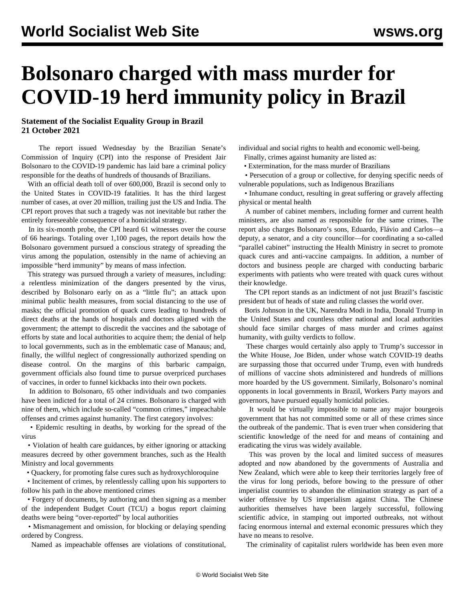## **Bolsonaro charged with mass murder for COVID-19 herd immunity policy in Brazil**

## **Statement of the Socialist Equality Group in Brazil 21 October 2021**

 The report issued Wednesday by the Brazilian Senate's Commission of Inquiry (CPI) into the response of President Jair Bolsonaro to the COVID-19 pandemic has laid bare a criminal policy responsible for the deaths of hundreds of thousands of Brazilians.

 With an official death toll of over 600,000, Brazil is second only to the United States in COVID-19 fatalities. It has the third largest number of cases, at over 20 million, trailing just the US and India. The CPI report proves that such a tragedy was not inevitable but rather the entirely foreseeable consequence of a homicidal strategy.

 In its six-month probe, the CPI heard 61 witnesses over the course of 66 hearings. Totaling over 1,100 pages, the report details how the Bolsonaro government pursued a conscious strategy of spreading the virus among the population, ostensibly in the name of achieving an impossible "herd immunity" by means of mass infection.

 This strategy was pursued through a variety of measures, including: a relentless minimization of the dangers presented by the virus, described by Bolsonaro early on as a "little flu"; an attack upon minimal public health measures, from social distancing to the use of masks; the official promotion of quack cures leading to hundreds of direct deaths at the hands of hospitals and doctors aligned with the government; the attempt to discredit the vaccines and the sabotage of efforts by state and local authorities to acquire them; the denial of help to local governments, such as in the emblematic case of Manaus; and, finally, the willful neglect of congressionally authorized spending on disease control. On the margins of this barbaric campaign, government officials also found time to pursue overpriced purchases of vaccines, in order to funnel kickbacks into their own pockets.

 In addition to Bolsonaro, 65 other individuals and two companies have been indicted for a total of 24 crimes. Bolsonaro is charged with nine of them, which include so-called "common crimes," impeachable offenses and crimes against humanity. The first category involves:

 • Epidemic resulting in deaths, by working for the spread of the virus

 • Violation of health care guidances, by either ignoring or attacking measures decreed by other government branches, such as the Health Ministry and local governments

• Quackery, for promoting false cures such as hydroxychloroquine

 • Incitement of crimes, by relentlessly calling upon his supporters to follow his path in the above mentioned crimes

 • Forgery of documents, by authoring and then signing as a member of the independent Budget Court (TCU) a bogus report claiming deaths were being "over-reported" by local authorities

 • Mismanagement and omission, for blocking or delaying spending ordered by Congress.

Named as impeachable offenses are violations of constitutional,

individual and social rights to health and economic well-being. Finally, crimes against humanity are listed as:

• Extermination, for the mass murder of Brazilians

 • Persecution of a group or collective, for denying specific needs of vulnerable populations, such as Indigenous Brazilians

 • Inhumane conduct, resulting in great suffering or gravely affecting physical or mental health

 A number of cabinet members, including former and current health ministers, are also named as responsible for the same crimes. The report also charges Bolsonaro's sons, Eduardo, Flávio and Carlos—a deputy, a senator, and a city councillor—for coordinating a so-called "parallel cabinet" instructing the Health Ministry in secret to promote quack cures and anti-vaccine campaigns. In addition, a number of doctors and business people are charged with conducting barbaric experiments with patients who were treated with quack cures without their knowledge.

 The CPI report stands as an indictment of not just Brazil's fascistic president but of heads of state and ruling classes the world over.

 Boris Johnson in the UK, Narendra Modi in India, Donald Trump in the United States and countless other national and local authorities should face similar charges of mass murder and crimes against humanity, with guilty verdicts to follow.

 These charges would certainly also apply to Trump's successor in the White House, Joe Biden, under whose watch COVID-19 deaths are surpassing those that occurred under Trump, even with hundreds of millions of vaccine shots administered and hundreds of millions more hoarded by the US government. Similarly, Bolsonaro's nominal opponents in local governments in Brazil, Workers Party mayors and governors, have pursued equally homicidal policies.

 It would be virtually impossible to name any major bourgeois government that has not committed some or all of these crimes since the outbreak of the pandemic. That is even truer when considering that scientific knowledge of the need for and means of containing and eradicating the virus was widely available.

 This was proven by the local and limited success of measures adopted and now abandoned by the governments of Australia and New Zealand, which were able to keep their territories largely free of the virus for long periods, before bowing to the pressure of other imperialist countries to abandon the elimination strategy as part of a wider offensive by US imperialism against China. The Chinese authorities themselves have been largely successful, following scientific advice, in stamping out imported outbreaks, not without facing enormous internal and external economic pressures which they have no means to resolve.

The criminality of capitalist rulers worldwide has been even more